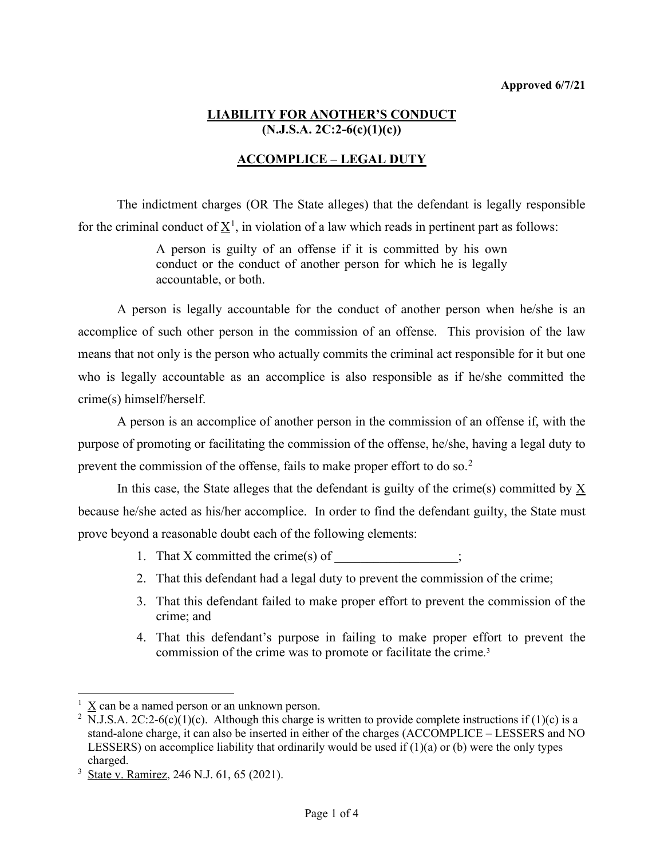### **LIABILITY FOR ANOTHER'S CONDUCT (N.J.S.A. 2C:2-6(c)(1)(c))**

# **ACCOMPLICE – LEGAL DUTY**

The indictment charges (OR The State alleges) that the defendant is legally responsible for the criminal conduct of  $\underline{X}^1$  $\underline{X}^1$ , in violation of a law which reads in pertinent part as follows:

> A person is guilty of an offense if it is committed by his own conduct or the conduct of another person for which he is legally accountable, or both.

A person is legally accountable for the conduct of another person when he/she is an accomplice of such other person in the commission of an offense. This provision of the law means that not only is the person who actually commits the criminal act responsible for it but one who is legally accountable as an accomplice is also responsible as if he/she committed the crime(s) himself/herself.

A person is an accomplice of another person in the commission of an offense if, with the purpose of promoting or facilitating the commission of the offense, he/she, having a legal duty to prevent the commission of the offense, fails to make proper effort to do so.[2](#page-0-1)

In this case, the State alleges that the defendant is guilty of the crime(s) committed by  $\underline{X}$ because he/she acted as his/her accomplice. In order to find the defendant guilty, the State must prove beyond a reasonable doubt each of the following elements:

- 1. That  $X$  committed the crime(s) of  $\cdot$
- 2. That this defendant had a legal duty to prevent the commission of the crime;
- 3. That this defendant failed to make proper effort to prevent the commission of the crime; and
- 4. That this defendant's purpose in failing to make proper effort to prevent the commission of the crime was to promote or facilitate the crime. [3](#page-0-2)

<span id="page-0-0"></span> $1 \text{ X}$  can be a named person or an unknown person.

<span id="page-0-1"></span><sup>&</sup>lt;sup>2</sup> N.J.S.A. 2C:2-6(c)(1)(c). Although this charge is written to provide complete instructions if (1)(c) is a stand-alone charge, it can also be inserted in either of the charges (ACCOMPLICE – LESSERS and NO LESSERS) on accomplice liability that ordinarily would be used if  $(1)(a)$  or  $(b)$  were the only types charged.

<span id="page-0-2"></span><sup>&</sup>lt;sup>3</sup> State v. Ramirez, 246 N.J. 61, 65 (2021).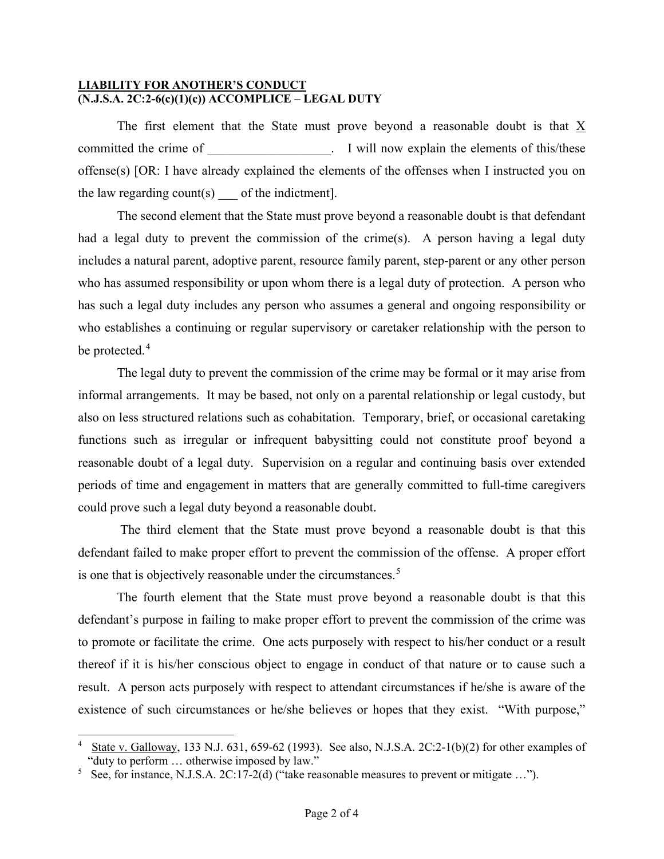#### **LIABILITY FOR ANOTHER'S CONDUCT (N.J.S.A. 2C:2-6(c)(1)(c)) ACCOMPLICE – LEGAL DUTY**

The first element that the State must prove beyond a reasonable doubt is that X committed the crime of  $\blacksquare$   $\blacksquare$  I will now explain the elements of this/these offense(s) [OR: I have already explained the elements of the offenses when I instructed you on the law regarding count(s) of the indictment].

The second element that the State must prove beyond a reasonable doubt is that defendant had a legal duty to prevent the commission of the crime(s). A person having a legal duty includes a natural parent, adoptive parent, resource family parent, step-parent or any other person who has assumed responsibility or upon whom there is a legal duty of protection. A person who has such a legal duty includes any person who assumes a general and ongoing responsibility or who establishes a continuing or regular supervisory or caretaker relationship with the person to be protected.<sup>[4](#page-1-0)</sup>

The legal duty to prevent the commission of the crime may be formal or it may arise from informal arrangements. It may be based, not only on a parental relationship or legal custody, but also on less structured relations such as cohabitation. Temporary, brief, or occasional caretaking functions such as irregular or infrequent babysitting could not constitute proof beyond a reasonable doubt of a legal duty. Supervision on a regular and continuing basis over extended periods of time and engagement in matters that are generally committed to full-time caregivers could prove such a legal duty beyond a reasonable doubt.

The third element that the State must prove beyond a reasonable doubt is that this defendant failed to make proper effort to prevent the commission of the offense. A proper effort is one that is objectively reasonable under the circumstances.<sup>[5](#page-1-1)</sup>

The fourth element that the State must prove beyond a reasonable doubt is that this defendant's purpose in failing to make proper effort to prevent the commission of the crime was to promote or facilitate the crime. One acts purposely with respect to his/her conduct or a result thereof if it is his/her conscious object to engage in conduct of that nature or to cause such a result. A person acts purposely with respect to attendant circumstances if he/she is aware of the existence of such circumstances or he/she believes or hopes that they exist. "With purpose,"

<span id="page-1-0"></span><sup>4</sup>State v. Galloway, 133 N.J. 631, 659-62 (1993). See also, N.J.S.A. 2C:2-1(b)(2) for other examples of "duty to perform … otherwise imposed by law."

<span id="page-1-1"></span><sup>&</sup>lt;sup>5</sup> See, for instance, N.J.S.A. 2C:17-2(d) ("take reasonable measures to prevent or mitigate ...").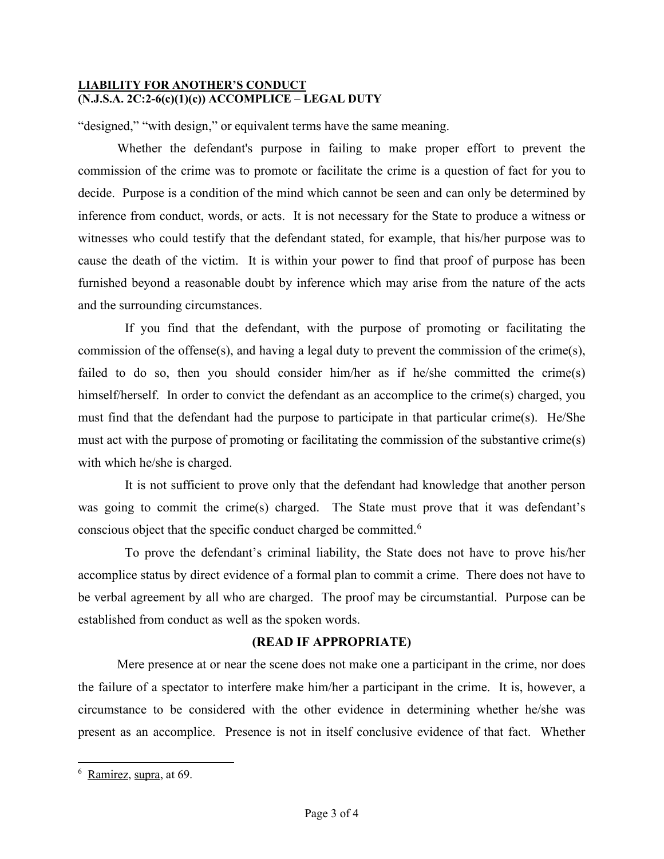#### **LIABILITY FOR ANOTHER'S CONDUCT (N.J.S.A. 2C:2-6(c)(1)(c)) ACCOMPLICE – LEGAL DUTY**

"designed," "with design," or equivalent terms have the same meaning.

Whether the defendant's purpose in failing to make proper effort to prevent the commission of the crime was to promote or facilitate the crime is a question of fact for you to decide. Purpose is a condition of the mind which cannot be seen and can only be determined by inference from conduct, words, or acts. It is not necessary for the State to produce a witness or witnesses who could testify that the defendant stated, for example, that his/her purpose was to cause the death of the victim. It is within your power to find that proof of purpose has been furnished beyond a reasonable doubt by inference which may arise from the nature of the acts and the surrounding circumstances.

If you find that the defendant, with the purpose of promoting or facilitating the commission of the offense(s), and having a legal duty to prevent the commission of the crime(s), failed to do so, then you should consider him/her as if he/she committed the crime(s) himself/herself. In order to convict the defendant as an accomplice to the crime(s) charged, you must find that the defendant had the purpose to participate in that particular crime(s). He/She must act with the purpose of promoting or facilitating the commission of the substantive crime(s) with which he/she is charged.

It is not sufficient to prove only that the defendant had knowledge that another person was going to commit the crime(s) charged. The State must prove that it was defendant's conscious object that the specific conduct charged be committed.<sup>[6](#page-2-0)</sup>

To prove the defendant's criminal liability, the State does not have to prove his/her accomplice status by direct evidence of a formal plan to commit a crime. There does not have to be verbal agreement by all who are charged. The proof may be circumstantial. Purpose can be established from conduct as well as the spoken words.

#### **(READ IF APPROPRIATE)**

Mere presence at or near the scene does not make one a participant in the crime, nor does the failure of a spectator to interfere make him/her a participant in the crime. It is, however, a circumstance to be considered with the other evidence in determining whether he/she was present as an accomplice. Presence is not in itself conclusive evidence of that fact. Whether

<span id="page-2-0"></span><sup>6</sup> Ramirez, supra, at 69.